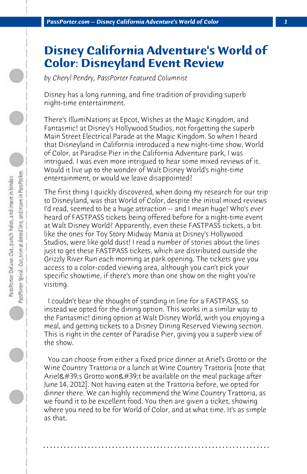## **Disney California Adventure's World of Color: Disneyland Event Review**

*by Cheryl Pendry, PassPorter Featured Columnist*

Disney has a long running, and fine tradition of providing superb night-time entertainment.

There's IllumiNations at Epcot, Wishes at the Magic Kingdom, and Fantasmic! at Disney's Hollywood Studios, not forgetting the superb Main Street Electrical Parade at the Magic Kingdom. So when I heard that Disneyland in California introduced a new night-time show, World of Color, at Paradise Pier in the California Adventure park, I was intrigued. I was even more intrigued to hear some mixed reviews of it. Would it live up to the wonder of Walt Disney World's night-time entertainment, or would we leave disappointed?

The first thing I quickly discovered, when doing my research for our trip to Disneyland, was that World of Color, despite the initial mixed reviews I'd read, seemed to be a huge attraction -- and I mean huge! Who's ever heard of FASTPASS tickets being offered before for a night-time event at Walt Disney World? Apparently, even these FASTPASS tickets, a bit like the ones for Toy Story Midway Mania at Disney's Hollywood Studios, were like gold dust! I read a number of stories about the lines just to get these FASTPASS tickets, which are distributed outside the Grizzly River Run each morning at park opening. The tickets give you access to a color-coded viewing area, although you can't pick your specific showtime, if there's more than one show on the night you're visiting.

 I couldn't bear the thought of standing in line for a FASTPASS, so instead we opted for the dining option. This works in a similar way to the Fantasmic! dining option at Walt Disney World, with you enjoying a meal, and getting tickets to a Disney Dining Reserved Viewing section. This is right in the center of Paradise Pier, giving you a superb view of the show.

 You can choose from either a fixed price dinner at Ariel's Grotto or the Wine Country Trattoria or a lunch at Wine Country Trattoria [note that Ariel's Grotto won't be available on the meal package after June 14, 2012]. Not having eaten at the Trattoria before, we opted for dinner there. We can highly recommend the Wine Country Trattoria, as we found it to be excellent food. You then are given a ticket, showing where you need to be for World of Color, and at what time. It's as simple as that.

**. . . . . . . . . . . . . . . . . . . . . . . . . . . . . . . . . . . . . . . . . . . . . . . . . . . . . . . . . . . . . . . . . .**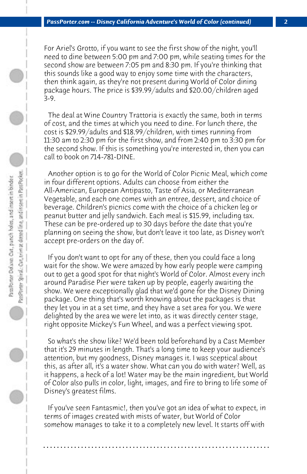For Ariel's Grotto, if you want to see the first show of the night, you'll need to dine between 5:00 pm and 7:00 pm, while seating times for the second show are between 7:05 pm and 8:30 pm. If you're thinking that this sounds like a good way to enjoy some time with the characters, then think again, as they're not present during World of Color dining package hours. The price is \$39.99/adults and \$20.00/children aged 3-9.

 The deal at Wine Country Trattoria is exactly the same, both in terms of cost, and the times at which you need to dine. For lunch there, the cost is \$29.99/adults and \$18.99/children, with times running from 11:30 am to 2:30 pm for the first show, and from 2:40 pm to 3:30 pm for the second show. If this is something you're interested in, then you can call to book on 714-781-DINE.

 Another option is to go for the World of Color Picnic Meal, which come in four different options. Adults can choose from either the All-American, European Antipasto, Taste of Asia, or Mediterranean Vegetable, and each one comes with an entree, dessert, and choice of beverage. Children's picnics come with the choice of a chicken leg or peanut butter and jelly sandwich. Each meal is \$15.99, including tax. These can be pre-ordered up to 30 days before the date that you're planning on seeing the show, but don't leave it too late, as Disney won't accept pre-orders on the day of.

 If you don't want to opt for any of these, then you could face a long wait for the show. We were amazed by how early people were camping out to get a good spot for that night's World of Color. Almost every inch around Paradise Pier were taken up by people, eagerly awaiting the show. We were exceptionally glad that we'd gone for the Disney Dining package. One thing that's worth knowing about the packages is that they let you in at a set time, and they have a set area for you. We were delighted by the area we were let into, as it was directly center stage, right opposite Mickey's Fun Wheel, and was a perfect viewing spot.

 So what's the show like? We'd been told beforehand by a Cast Member that it's 29 minutes in length. That's a long time to keep your audience's attention, but my goodness, Disney manages it. I was sceptical about this, as after all, it's a water show. What can you do with water? Well, as it happens, a heck of a lot! Water may be the main ingredient, but World of Color also pulls in color, light, images, and fire to bring to life some of Disney's greatest films.

 If you've seen Fantasmic!, then you've got an idea of what to expect, in terms of images created with mists of water, but World of Color somehow manages to take it to a completely new level. It starts off with

**. . . . . . . . . . . . . . . . . . . . . . . . . . . . . . . . . . . . . . . . . . . . . . . . . . . . . . . . . . . . . . . . . .**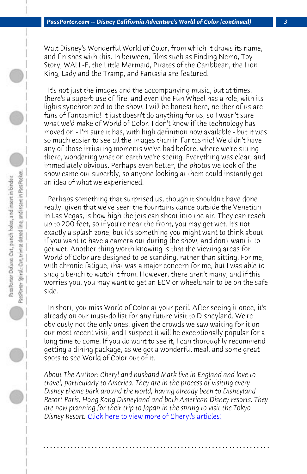*PassPorter.com -- Disney California Adventure's World of Color (continued) 3*

Walt Disney's Wonderful World of Color, from which it draws its name, and finishes with this. In between, films such as Finding Nemo, Toy Story, WALL-E, the Little Mermaid, Pirates of the Caribbean, the Lion King, Lady and the Tramp, and Fantasia are featured.

 It's not just the images and the accompanying music, but at times, there's a superb use of fire, and even the Fun Wheel has a role, with its lights synchronized to the show. I will be honest here, neither of us are fans of Fantasmic! It just doesn't do anything for us, so I wasn't sure what we'd make of World of Color. I don't know if the technology has moved on - I'm sure it has, with high definition now available - but it was so much easier to see all the images than in Fantasmic! We didn't have any of those irritating moments we've had before, where we're sitting there, wondering what on earth we're seeing. Everything was clear, and immediately obvious. Perhaps even better, the photos we took of the show came out superbly, so anyone looking at them could instantly get an idea of what we experienced.

D

PassPrier Spiral: Corumini at detect line, and insert in Pass Pocket. Pass Porter Delaxe: Cut., punch holes, and insert in binder.

 Perhaps something that surprised us, though it shouldn't have done really, given that we've seen the fountains dance outside the Venetian in Las Vegas, is how high the jets can shoot into the air. They can reach up to 200 feet, so if you're near the front, you may get wet. It's not exactly a splash zone, but it's something you might want to think about if you want to have a camera out during the show, and don't want it to get wet. Another thing worth knowing is that the viewing areas for World of Color are designed to be standing, rather than sitting. For me, with chronic fatigue, that was a major concern for me, but I was able to snag a bench [to watch it from. However, there aren](http://www.passporter.com/articles/cheryl-pendry-featured-columnist.asp)'[t man](http://www.passporter.com/articles/cheryl-pendry-featured-columnist.asp)y, and if this worries you, you may want to get an ECV or wheelchair to be on the safe side.

 In short, you miss World of Color at your peril. After seeing it once, it's already on our must-do list for any future visit to Disneyland. We're obviously not the only ones, given the crowds we saw waiting for it on our most recent visit, and I suspect it will be exceptionally popular for a long time to come. If you do want to see it, I can thoroughly recommend getting a dining package, as we got a wonderful meal, and some great spots to see World of Color out of it.

*About The Author: Cheryl and husband Mark live in England and love to travel, particularly to America. They are in the process of visiting every Disney theme park around the world, having already been to Disneyland Resort Paris, Hong Kong Disneyland and both American Disney resorts. They are now planning for their trip to Japan in the spring to visit the Tokyo Disney Resort.* Click here to view more of Cheryl's articles!

**. . . . . . . . . . . . . . . . . . . . . . . . . . . . . . . . . . . . . . . . . . . . . . . . . . . . . . . . . . . . . . . . . .**